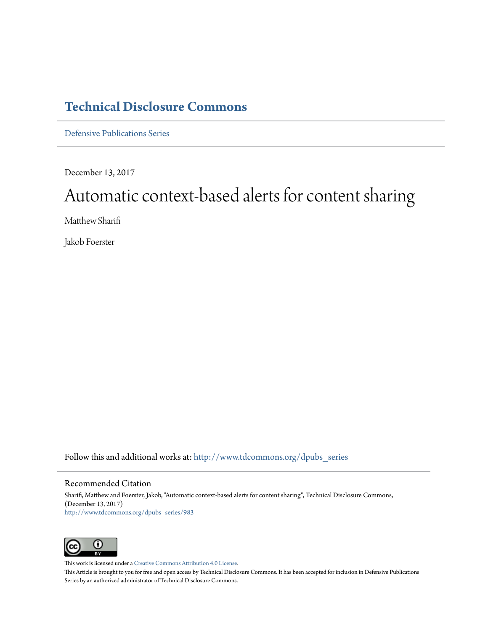# **[Technical Disclosure Commons](http://www.tdcommons.org?utm_source=www.tdcommons.org%2Fdpubs_series%2F983&utm_medium=PDF&utm_campaign=PDFCoverPages)**

[Defensive Publications Series](http://www.tdcommons.org/dpubs_series?utm_source=www.tdcommons.org%2Fdpubs_series%2F983&utm_medium=PDF&utm_campaign=PDFCoverPages)

December 13, 2017

# Automatic context-based alerts for content sharing

Matthew Sharifi

Jakob Foerster

Follow this and additional works at: [http://www.tdcommons.org/dpubs\\_series](http://www.tdcommons.org/dpubs_series?utm_source=www.tdcommons.org%2Fdpubs_series%2F983&utm_medium=PDF&utm_campaign=PDFCoverPages)

# Recommended Citation

Sharifi, Matthew and Foerster, Jakob, "Automatic context-based alerts for content sharing", Technical Disclosure Commons, (December 13, 2017) [http://www.tdcommons.org/dpubs\\_series/983](http://www.tdcommons.org/dpubs_series/983?utm_source=www.tdcommons.org%2Fdpubs_series%2F983&utm_medium=PDF&utm_campaign=PDFCoverPages)



This work is licensed under a [Creative Commons Attribution 4.0 License.](http://creativecommons.org/licenses/by/4.0/deed.en_US)

This Article is brought to you for free and open access by Technical Disclosure Commons. It has been accepted for inclusion in Defensive Publications Series by an authorized administrator of Technical Disclosure Commons.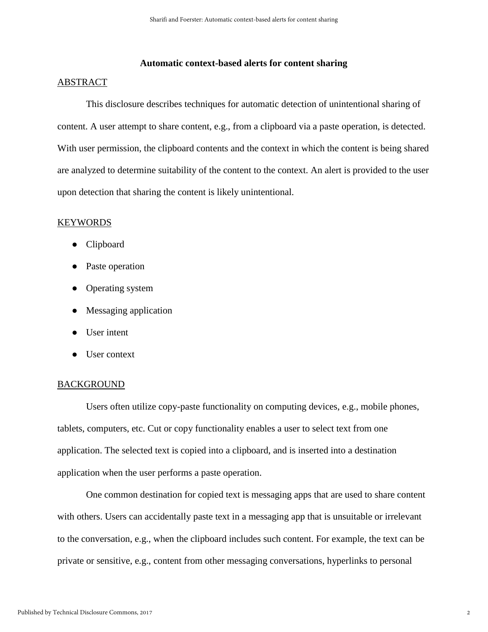# **Automatic context-based alerts for content sharing**

#### ABSTRACT

This disclosure describes techniques for automatic detection of unintentional sharing of content. A user attempt to share content, e.g., from a clipboard via a paste operation, is detected. With user permission, the clipboard contents and the context in which the content is being shared are analyzed to determine suitability of the content to the context. An alert is provided to the user upon detection that sharing the content is likely unintentional.

#### KEYWORDS

- Clipboard
- Paste operation
- Operating system
- Messaging application
- User intent
- User context

#### BACKGROUND

Users often utilize copy-paste functionality on computing devices, e.g., mobile phones, tablets, computers, etc. Cut or copy functionality enables a user to select text from one application. The selected text is copied into a clipboard, and is inserted into a destination application when the user performs a paste operation.

One common destination for copied text is messaging apps that are used to share content with others. Users can accidentally paste text in a messaging app that is unsuitable or irrelevant to the conversation, e.g., when the clipboard includes such content. For example, the text can be private or sensitive, e.g., content from other messaging conversations, hyperlinks to personal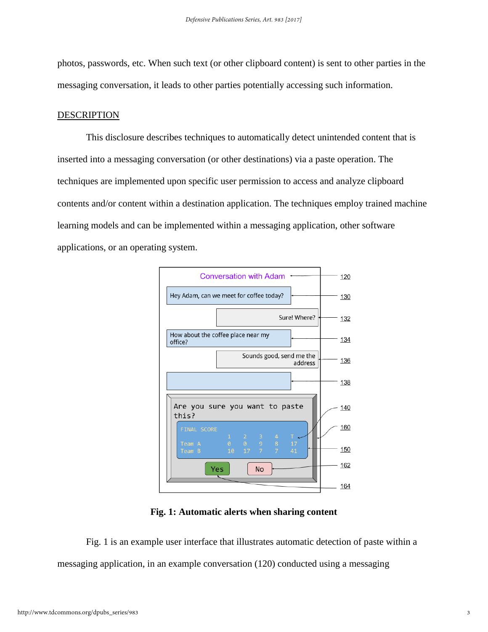photos, passwords, etc. When such text (or other clipboard content) is sent to other parties in the messaging conversation, it leads to other parties potentially accessing such information.

# DESCRIPTION

This disclosure describes techniques to automatically detect unintended content that is inserted into a messaging conversation (or other destinations) via a paste operation. The techniques are implemented upon specific user permission to access and analyze clipboard contents and/or content within a destination application. The techniques employ trained machine learning models and can be implemented within a messaging application, other software applications, or an operating system.



**Fig. 1: Automatic alerts when sharing content**

Fig. 1 is an example user interface that illustrates automatic detection of paste within a messaging application, in an example conversation (120) conducted using a messaging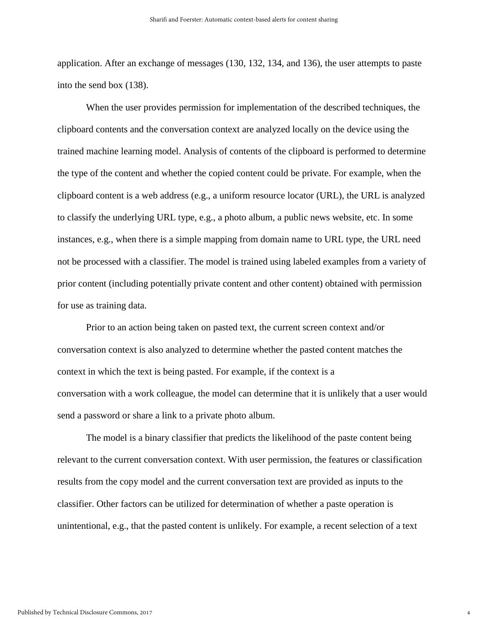application. After an exchange of messages (130, 132, 134, and 136), the user attempts to paste into the send box (138).

When the user provides permission for implementation of the described techniques, the clipboard contents and the conversation context are analyzed locally on the device using the trained machine learning model. Analysis of contents of the clipboard is performed to determine the type of the content and whether the copied content could be private. For example, when the clipboard content is a web address (e.g., a uniform resource locator (URL), the URL is analyzed to classify the underlying URL type, e.g., a photo album, a public news website, etc. In some instances, e.g., when there is a simple mapping from domain name to URL type, the URL need not be processed with a classifier. The model is trained using labeled examples from a variety of prior content (including potentially private content and other content) obtained with permission for use as training data.

Prior to an action being taken on pasted text, the current screen context and/or conversation context is also analyzed to determine whether the pasted content matches the context in which the text is being pasted. For example, if the context is a conversation with a work colleague, the model can determine that it is unlikely that a user would send a password or share a link to a private photo album.

The model is a binary classifier that predicts the likelihood of the paste content being relevant to the current conversation context. With user permission, the features or classification results from the copy model and the current conversation text are provided as inputs to the classifier. Other factors can be utilized for determination of whether a paste operation is unintentional, e.g., that the pasted content is unlikely. For example, a recent selection of a text

4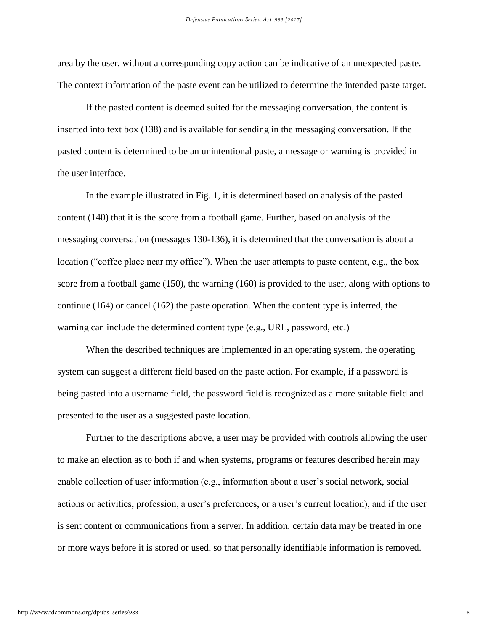area by the user, without a corresponding copy action can be indicative of an unexpected paste. The context information of the paste event can be utilized to determine the intended paste target.

If the pasted content is deemed suited for the messaging conversation, the content is inserted into text box (138) and is available for sending in the messaging conversation. If the pasted content is determined to be an unintentional paste, a message or warning is provided in the user interface.

In the example illustrated in Fig. 1, it is determined based on analysis of the pasted content (140) that it is the score from a football game. Further, based on analysis of the messaging conversation (messages 130-136), it is determined that the conversation is about a location ("coffee place near my office"). When the user attempts to paste content, e.g., the box score from a football game (150), the warning (160) is provided to the user, along with options to continue (164) or cancel (162) the paste operation. When the content type is inferred, the warning can include the determined content type (e.g., URL, password, etc.)

When the described techniques are implemented in an operating system, the operating system can suggest a different field based on the paste action. For example, if a password is being pasted into a username field, the password field is recognized as a more suitable field and presented to the user as a suggested paste location.

Further to the descriptions above, a user may be provided with controls allowing the user to make an election as to both if and when systems, programs or features described herein may enable collection of user information (e.g., information about a user's social network, social actions or activities, profession, a user's preferences, or a user's current location), and if the user is sent content or communications from a server. In addition, certain data may be treated in one or more ways before it is stored or used, so that personally identifiable information is removed.